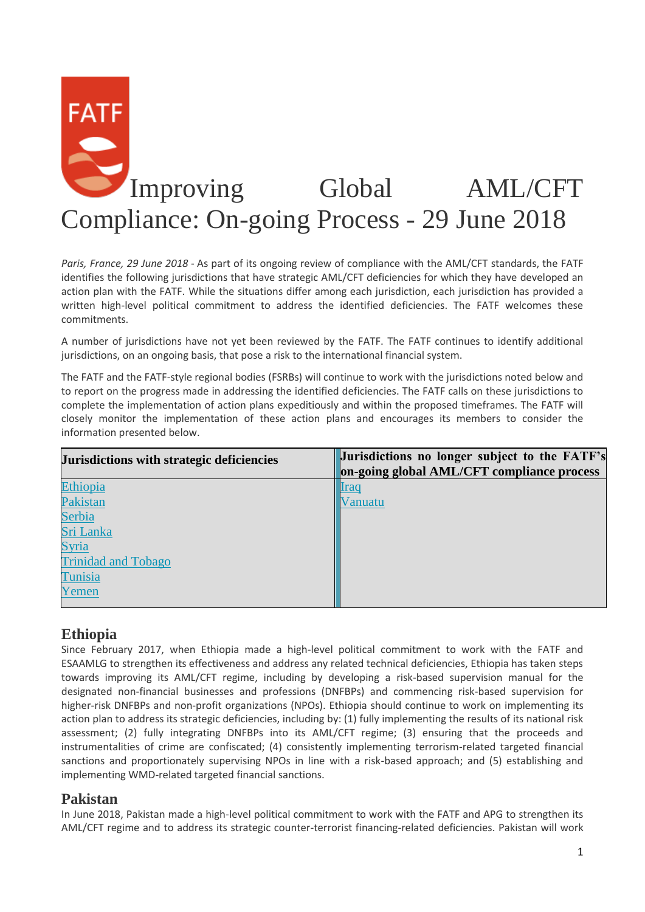# **FATF** Improving Global AML/CFT Compliance: On-going Process - 29 June 2018

*Paris, France, 29 June 2018* - As part of its ongoing review of compliance with the AML/CFT standards, the FATF identifies the following jurisdictions that have strategic AML/CFT deficiencies for which they have developed an action plan with the FATF. While the situations differ among each jurisdiction, each jurisdiction has provided a written high-level political commitment to address the identified deficiencies. The FATF welcomes these commitments.

A number of jurisdictions have not yet been reviewed by the FATF. The FATF continues to identify additional jurisdictions, on an ongoing basis, that pose a risk to the international financial system.

The FATF and the FATF-style regional bodies (FSRBs) will continue to work with the jurisdictions noted below and to report on the progress made in addressing the identified deficiencies. The FATF calls on these jurisdictions to complete the implementation of action plans expeditiously and within the proposed timeframes. The FATF will closely monitor the implementation of these action plans and encourages its members to consider the information presented below.

| Jurisdictions with strategic deficiencies | <b>Jurisdictions no longer subject to the FATF's</b> |
|-------------------------------------------|------------------------------------------------------|
|                                           | on-going global AML/CFT compliance process           |
| Ethiopia                                  |                                                      |
| Pakistan                                  | /anuatu                                              |
| Serbia                                    |                                                      |
| Sri Lanka                                 |                                                      |
| Syria                                     |                                                      |
| <b>Trinidad and Tobago</b>                |                                                      |
| Tunisia                                   |                                                      |
| Yemen                                     |                                                      |
|                                           |                                                      |

#### **Ethiopia**

Since February 2017, when Ethiopia made a high-level political commitment to work with the FATF and ESAAMLG to strengthen its effectiveness and address any related technical deficiencies, Ethiopia has taken steps towards improving its AML/CFT regime, including by developing a risk-based supervision manual for the designated non-financial businesses and professions (DNFBPs) and commencing risk-based supervision for higher-risk DNFBPs and non-profit organizations (NPOs). Ethiopia should continue to work on implementing its action plan to address its strategic deficiencies, including by: (1) fully implementing the results of its national risk assessment; (2) fully integrating DNFBPs into its AML/CFT regime; (3) ensuring that the proceeds and instrumentalities of crime are confiscated; (4) consistently implementing terrorism-related targeted financial sanctions and proportionately supervising NPOs in line with a risk-based approach; and (5) establishing and implementing WMD-related targeted financial sanctions.

#### **Pakistan**

In June 2018, Pakistan made a high-level political commitment to work with the FATF and APG to strengthen its AML/CFT regime and to address its strategic counter-terrorist financing-related deficiencies. Pakistan will work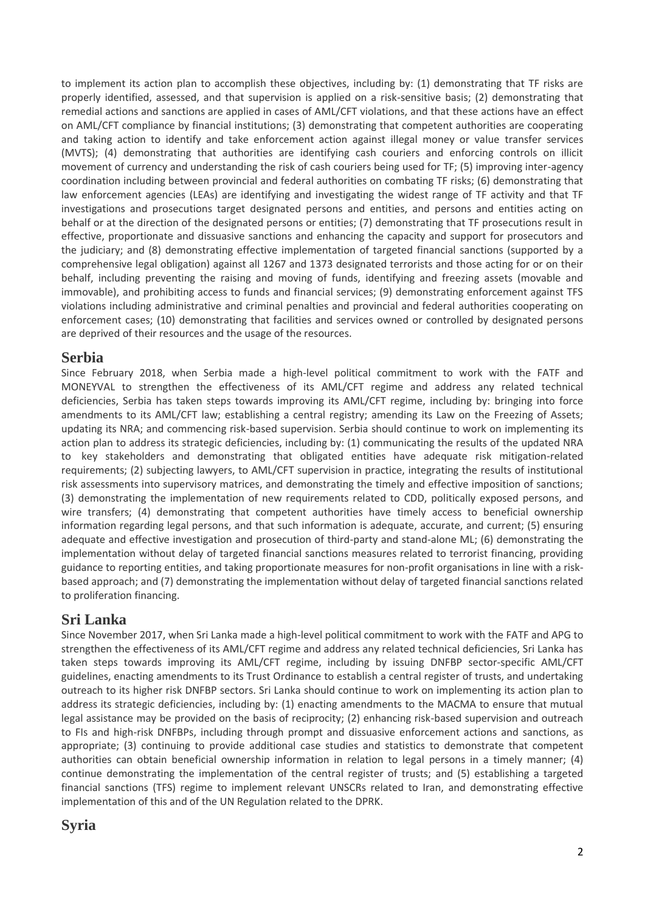to implement its action plan to accomplish these objectives, including by: (1) demonstrating that TF risks are properly identified, assessed, and that supervision is applied on a risk-sensitive basis; (2) demonstrating that remedial actions and sanctions are applied in cases of AML/CFT violations, and that these actions have an effect on AML/CFT compliance by financial institutions; (3) demonstrating that competent authorities are cooperating and taking action to identify and take enforcement action against illegal money or value transfer services (MVTS); (4) demonstrating that authorities are identifying cash couriers and enforcing controls on illicit movement of currency and understanding the risk of cash couriers being used for TF; (5) improving inter-agency coordination including between provincial and federal authorities on combating TF risks; (6) demonstrating that law enforcement agencies (LEAs) are identifying and investigating the widest range of TF activity and that TF investigations and prosecutions target designated persons and entities, and persons and entities acting on behalf or at the direction of the designated persons or entities; (7) demonstrating that TF prosecutions result in effective, proportionate and dissuasive sanctions and enhancing the capacity and support for prosecutors and the judiciary; and (8) demonstrating effective implementation of targeted financial sanctions (supported by a comprehensive legal obligation) against all 1267 and 1373 designated terrorists and those acting for or on their behalf, including preventing the raising and moving of funds, identifying and freezing assets (movable and immovable), and prohibiting access to funds and financial services; (9) demonstrating enforcement against TFS violations including administrative and criminal penalties and provincial and federal authorities cooperating on enforcement cases; (10) demonstrating that facilities and services owned or controlled by designated persons are deprived of their resources and the usage of the resources.

#### **Serbia**

Since February 2018, when Serbia made a high-level political commitment to work with the FATF and MONEYVAL to strengthen the effectiveness of its AML/CFT regime and address any related technical deficiencies, Serbia has taken steps towards improving its AML/CFT regime, including by: bringing into force amendments to its AML/CFT law; establishing a central registry; amending its Law on the Freezing of Assets; updating its NRA; and commencing risk-based supervision. Serbia should continue to work on implementing its action plan to address its strategic deficiencies, including by: (1) communicating the results of the updated NRA to key stakeholders and demonstrating that obligated entities have adequate risk mitigation-related requirements; (2) subjecting lawyers, to AML/CFT supervision in practice, integrating the results of institutional risk assessments into supervisory matrices, and demonstrating the timely and effective imposition of sanctions; (3) demonstrating the implementation of new requirements related to CDD, politically exposed persons, and wire transfers; (4) demonstrating that competent authorities have timely access to beneficial ownership information regarding legal persons, and that such information is adequate, accurate, and current; (5) ensuring adequate and effective investigation and prosecution of third-party and stand-alone ML; (6) demonstrating the implementation without delay of targeted financial sanctions measures related to terrorist financing, providing guidance to reporting entities, and taking proportionate measures for non-profit organisations in line with a riskbased approach; and (7) demonstrating the implementation without delay of targeted financial sanctions related to proliferation financing.

## **Sri Lanka**

Since November 2017, when Sri Lanka made a high-level political commitment to work with the FATF and APG to strengthen the effectiveness of its AML/CFT regime and address any related technical deficiencies, Sri Lanka has taken steps towards improving its AML/CFT regime, including by issuing DNFBP sector-specific AML/CFT guidelines, enacting amendments to its Trust Ordinance to establish a central register of trusts, and undertaking outreach to its higher risk DNFBP sectors. Sri Lanka should continue to work on implementing its action plan to address its strategic deficiencies, including by: (1) enacting amendments to the MACMA to ensure that mutual legal assistance may be provided on the basis of reciprocity; (2) enhancing risk-based supervision and outreach to FIs and high-risk DNFBPs, including through prompt and dissuasive enforcement actions and sanctions, as appropriate; (3) continuing to provide additional case studies and statistics to demonstrate that competent authorities can obtain beneficial ownership information in relation to legal persons in a timely manner; (4) continue demonstrating the implementation of the central register of trusts; and (5) establishing a targeted financial sanctions (TFS) regime to implement relevant UNSCRs related to Iran, and demonstrating effective implementation of this and of the UN Regulation related to the DPRK.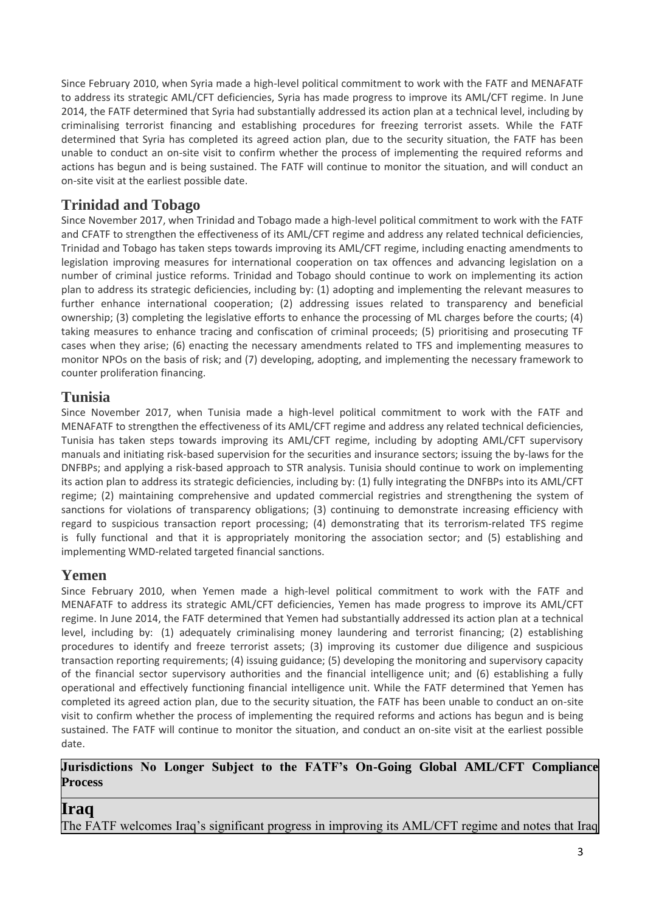Since February 2010, when Syria made a high-level political commitment to work with the FATF and MENAFATF to address its strategic AML/CFT deficiencies, Syria has made progress to improve its AML/CFT regime. In June 2014, the FATF determined that Syria had substantially addressed its action plan at a technical level, including by criminalising terrorist financing and establishing procedures for freezing terrorist assets. While the FATF determined that Syria has completed its agreed action plan, due to the security situation, the FATF has been unable to conduct an on-site visit to confirm whether the process of implementing the required reforms and actions has begun and is being sustained. The FATF will continue to monitor the situation, and will conduct an on-site visit at the earliest possible date.

## **Trinidad and Tobago**

Since November 2017, when Trinidad and Tobago made a high-level political commitment to work with the FATF and CFATF to strengthen the effectiveness of its AML/CFT regime and address any related technical deficiencies, Trinidad and Tobago has taken steps towards improving its AML/CFT regime, including enacting amendments to legislation improving measures for international cooperation on tax offences and advancing legislation on a number of criminal justice reforms. Trinidad and Tobago should continue to work on implementing its action plan to address its strategic deficiencies, including by: (1) adopting and implementing the relevant measures to further enhance international cooperation; (2) addressing issues related to transparency and beneficial ownership; (3) completing the legislative efforts to enhance the processing of ML charges before the courts; (4) taking measures to enhance tracing and confiscation of criminal proceeds; (5) prioritising and prosecuting TF cases when they arise; (6) enacting the necessary amendments related to TFS and implementing measures to monitor NPOs on the basis of risk; and (7) developing, adopting, and implementing the necessary framework to counter proliferation financing.

## **Tunisia**

Since November 2017, when Tunisia made a high-level political commitment to work with the FATF and MENAFATF to strengthen the effectiveness of its AML/CFT regime and address any related technical deficiencies, Tunisia has taken steps towards improving its AML/CFT regime, including by adopting AML/CFT supervisory manuals and initiating risk-based supervision for the securities and insurance sectors; issuing the by-laws for the DNFBPs; and applying a risk-based approach to STR analysis. Tunisia should continue to work on implementing its action plan to address its strategic deficiencies, including by: (1) fully integrating the DNFBPs into its AML/CFT regime; (2) maintaining comprehensive and updated commercial registries and strengthening the system of sanctions for violations of transparency obligations; (3) continuing to demonstrate increasing efficiency with regard to suspicious transaction report processing; (4) demonstrating that its terrorism-related TFS regime is fully functional and that it is appropriately monitoring the association sector; and (5) establishing and implementing WMD-related targeted financial sanctions.

## **Yemen**

Since February 2010, when Yemen made a high-level political commitment to work with the FATF and MENAFATF to address its strategic AML/CFT deficiencies, Yemen has made progress to improve its AML/CFT regime. In June 2014, the FATF determined that Yemen had substantially addressed its action plan at a technical level, including by: (1) adequately criminalising money laundering and terrorist financing; (2) establishing procedures to identify and freeze terrorist assets; (3) improving its customer due diligence and suspicious transaction reporting requirements; (4) issuing guidance; (5) developing the monitoring and supervisory capacity of the financial sector supervisory authorities and the financial intelligence unit; and (6) establishing a fully operational and effectively functioning financial intelligence unit. While the FATF determined that Yemen has completed its agreed action plan, due to the security situation, the FATF has been unable to conduct an on-site visit to confirm whether the process of implementing the required reforms and actions has begun and is being sustained. The FATF will continue to monitor the situation, and conduct an on-site visit at the earliest possible date.

#### **Jurisdictions No Longer Subject to the FATF's On-Going Global AML/CFT Compliance Process**

## **Iraq**

The FATF welcomes Iraq's significant progress in improving its AML/CFT regime and notes that Iraq